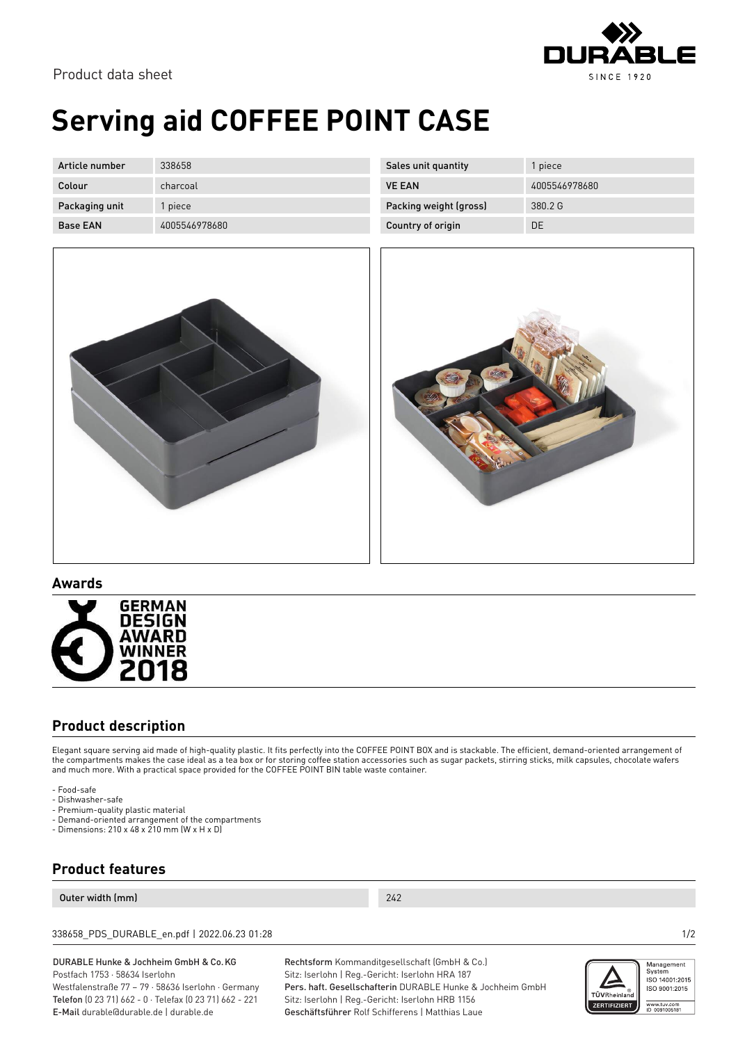

Product data sheet

# **Serving aid COFFEE POINT CASE**

| Article number  | 338658        |
|-----------------|---------------|
| Colour          | charcoal      |
| Packaging unit  | 1 piece       |
| <b>Base FAN</b> | 4005546978680 |

| Sales unit quantity    | 1 piece       |
|------------------------|---------------|
| <b>VE FAN</b>          | 4005546978680 |
| Packing weight (gross) | 3802G         |
| Country of origin      | DE            |
|                        |               |



#### **Awards**



### **Product description**

Elegant square serving aid made of high-quality plastic. It fits perfectly into the COFFEE POINT BOX and is stackable. The efficient, demand-oriented arrangement of the compartments makes the case ideal as a tea box or for storing coffee station accessories such as sugar packets, stirring sticks, milk capsules, chocolate wafers and much more. With a practical space provided for the COFFEE POINT BIN table waste container.

- Food-safe
- Dishwasher-safe
- Premium-quality plastic material
- Demand-oriented arrangement of the compartments
- Dimensions: 210 x 48 x 210 mm (W x H x D)

### **Product features**

#### Outer width (mm) 242

338658\_PDS\_DURABLE\_en.pdf | 2022.06.23 01:28 1/2

DURABLE Hunke & Jochheim GmbH & Co.KG Postfach 1753 · 58634 Iserlohn

Westfalenstraße 77 – 79 · 58636 Iserlohn · Germany Telefon (0 23 71) 662 - 0 · Telefax (0 23 71) 662 - 221 E-Mail durable@durable.de | durable.de

Rechtsform Kommanditgesellschaft (GmbH & Co.) Sitz: Iserlohn | Reg.-Gericht: Iserlohn HRA 187 Pers. haft. Gesellschafterin DURABLE Hunke & Jochheim GmbH Sitz: Iserlohn | Reg.-Gericht: Iserlohn HRB 1156 Geschäftsführer Rolf Schifferens | Matthias Laue